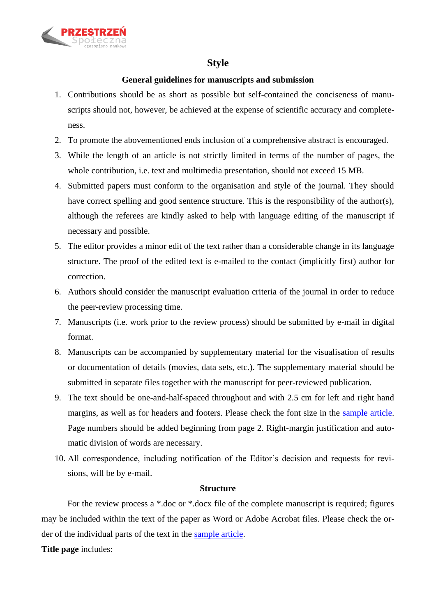

# **Style**

## **General guidelines for manuscripts and submission**

- 1. Contributions should be as short as possible but self-contained the conciseness of manuscripts should not, however, be achieved at the expense of scientific accuracy and completeness.
- 2. To promote the abovementioned ends inclusion of a comprehensive abstract is encouraged.
- 3. While the length of an article is not strictly limited in terms of the number of pages, the whole contribution, i.e. text and multimedia presentation, should not exceed 15 MB.
- 4. Submitted papers must conform to the organisation and style of the journal. They should have correct spelling and good sentence structure. This is the responsibility of the author(s), although the referees are kindly asked to help with language editing of the manuscript if necessary and possible.
- 5. The editor provides a minor edit of the text rather than a considerable change in its language structure. The proof of the edited text is e-mailed to the contact (implicitly first) author for correction.
- 6. Authors should consider the manuscript evaluation criteria of the journal in order to reduce the peer-review processing time.
- 7. Manuscripts (i.e. work prior to the review process) should be submitted by e-mail in digital format.
- 8. Manuscripts can be accompanied by supplementary material for the visualisation of results or documentation of details (movies, data sets, etc.). The supplementary material should be submitted in separate files together with the manuscript for peer-reviewed publication.
- 9. The text should be one-and-half-spaced throughout and with 2.5 cm for left and right hand margins, as well as for headers and footers. Please check the font size in the sample article. Page numbers should be added beginning from page 2. Right-margin justification and automatic division of words are necessary.
- 10. All correspondence, including notification of the Editor's decision and requests for revisions, will be by e-mail.

## **Structure**

For the review process a \*.doc or \*.docx file of the complete manuscript is required; figures may be included within the text of the paper as Word or Adobe Acrobat files. Please check the order of the individual parts of the text in the sample article.

**Title page** includes: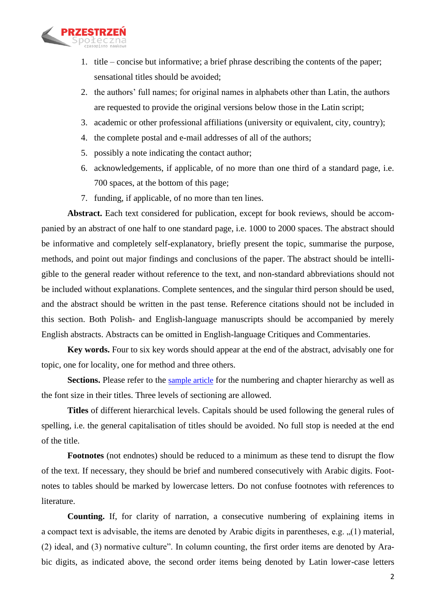

- 1. title concise but informative; a brief phrase describing the contents of the paper; sensational titles should be avoided;
- 2. the authors' full names; for original names in alphabets other than Latin, the authors are requested to provide the original versions below those in the Latin script;
- 3. academic or other professional affiliations (university or equivalent, city, country);
- 4. the complete postal and e-mail addresses of all of the authors;
- 5. possibly a note indicating the contact author;
- 6. acknowledgements, if applicable, of no more than one third of a standard page, i.e. 700 spaces, at the bottom of this page;
- 7. funding, if applicable, of no more than ten lines.

**Abstract.** Each text considered for publication, except for book reviews, should be accompanied by an abstract of one half to one standard page, i.e. 1000 to 2000 spaces. The abstract should be informative and completely self-explanatory, briefly present the topic, summarise the purpose, methods, and point out major findings and conclusions of the paper. The abstract should be intelligible to the general reader without reference to the text, and non-standard abbreviations should not be included without explanations. Complete sentences, and the singular third person should be used, and the abstract should be written in the past tense. Reference citations should not be included in this section. Both Polish- and English-language manuscripts should be accompanied by merely English abstracts. Abstracts can be omitted in English-language Critiques and Commentaries.

**Key words.** Four to six key words should appear at the end of the abstract, advisably one for topic, one for locality, one for method and three others.

Sections. Please refer to the sample article for the numbering and chapter hierarchy as well as the font size in their titles. Three levels of sectioning are allowed.

**Titles** of different hierarchical levels. Capitals should be used following the general rules of spelling, i.e. the general capitalisation of titles should be avoided. No full stop is needed at the end of the title.

**Footnotes** (not endnotes) should be reduced to a minimum as these tend to disrupt the flow of the text. If necessary, they should be brief and numbered consecutively with Arabic digits. Footnotes to tables should be marked by lowercase letters. Do not confuse footnotes with references to literature.

**Counting.** If, for clarity of narration, a consecutive numbering of explaining items in a compact text is advisable, the items are denoted by Arabic digits in parentheses, e.g.  $(1)$  material, (2) ideal, and (3) normative culture". In column counting, the first order items are denoted by Arabic digits, as indicated above, the second order items being denoted by Latin lower-case letters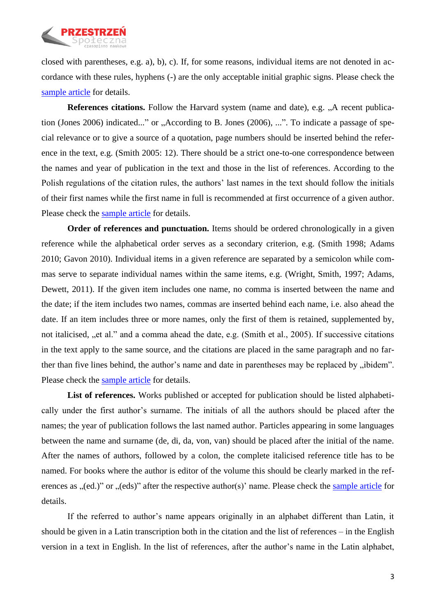

closed with parentheses, e.g. a), b), c). If, for some reasons, individual items are not denoted in accordance with these rules, hyphens (-) are the only acceptable initial graphic signs. Please check the sample article for details.

**References citations.** Follow the Harvard system (name and date), e.g. "A recent publication (Jones 2006) indicated..." or "According to B. Jones (2006), ...". To indicate a passage of special relevance or to give a source of a quotation, page numbers should be inserted behind the reference in the text, e.g. (Smith 2005: 12). There should be a strict one-to-one correspondence between the names and year of publication in the text and those in the list of references. According to the Polish regulations of the citation rules, the authors' last names in the text should follow the initials of their first names while the first name in full is recommended at first occurrence of a given author. Please check the sample article for details.

**Order of references and punctuation.** Items should be ordered chronologically in a given reference while the alphabetical order serves as a secondary criterion, e.g. (Smith 1998; Adams 2010; Gavon 2010). Individual items in a given reference are separated by a semicolon while commas serve to separate individual names within the same items, e.g. (Wright, Smith, 1997; Adams, Dewett, 2011). If the given item includes one name, no comma is inserted between the name and the date; if the item includes two names, commas are inserted behind each name, i.e. also ahead the date. If an item includes three or more names, only the first of them is retained, supplemented by, not italicised, "et al." and a comma ahead the date, e.g. (Smith et al., 2005). If successive citations in the text apply to the same source, and the citations are placed in the same paragraph and no farther than five lines behind, the author's name and date in parentheses may be replaced by "ibidem". Please check the sample article for details.

**List of references.** Works published or accepted for publication should be listed alphabetically under the first author's surname. The initials of all the authors should be placed after the names; the year of publication follows the last named author. Particles appearing in some languages between the name and surname (de, di, da, von, van) should be placed after the initial of the name. After the names of authors, followed by a colon, the complete italicised reference title has to be named. For books where the author is editor of the volume this should be clearly marked in the references as  $(ed.)$ " or  $(eds)$ " after the respective author(s)' name. Please check the sample article for details.

If the referred to author's name appears originally in an alphabet different than Latin, it should be given in a Latin transcription both in the citation and the list of references – in the English version in a text in English. In the list of references, after the author's name in the Latin alphabet,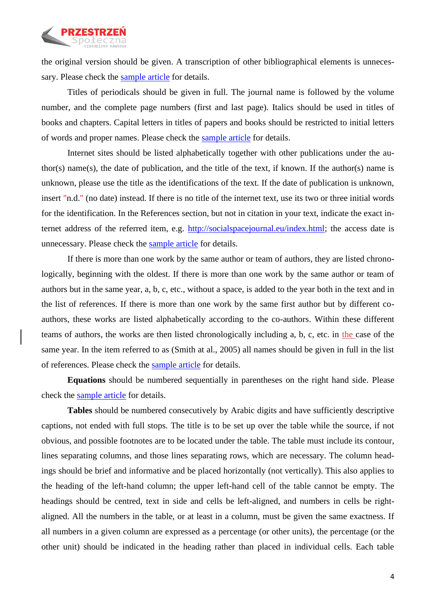

the original version should be given. A transcription of other bibliographical elements is unnecessary. Please check the sample article for details.

Titles of periodicals should be given in full. The journal name is followed by the volume number, and the complete page numbers (first and last page). Italics should be used in titles of books and chapters. Capital letters in titles of papers and books should be restricted to initial letters of words and proper names. Please check the sample article for details.

Internet sites should be listed alphabetically together with other publications under the author(s) name(s), the date of publication, and the title of the text, if known. If the author(s) name is unknown, please use the title as the identifications of the text. If the date of publication is unknown, insert "n.d." (no date) instead. If there is no title of the internet text, use its two or three initial words for the identification. In the References section, but not in citation in your text, indicate the exact internet address of the referred item, e.g. [http://socialspacejournal.eu/index.html;](http://socialspacejournal.eu/index.html) the access date is unnecessary. Please check the sample article for details.

If there is more than one work by the same author or team of authors, they are listed chronologically, beginning with the oldest. If there is more than one work by the same author or team of authors but in the same year, a, b, c, etc., without a space, is added to the year both in the text and in the list of references. If there is more than one work by the same first author but by different coauthors, these works are listed alphabetically according to the co-authors. Within these different teams of authors, the works are then listed chronologically including a, b, c, etc. in the case of the same year. In the item referred to as (Smith at al., 2005) all names should be given in full in the list of references. Please check the sample article for details.

**Equations** should be numbered sequentially in parentheses on the right hand side. Please check the sample article for details.

**Tables** should be numbered consecutively by Arabic digits and have sufficiently descriptive captions, not ended with full stops. The title is to be set up over the table while the source, if not obvious, and possible footnotes are to be located under the table. The table must include its contour, lines separating columns, and those lines separating rows, which are necessary. The column headings should be brief and informative and be placed horizontally (not vertically). This also applies to the heading of the left-hand column; the upper left-hand cell of the table cannot be empty. The headings should be centred, text in side and cells be left-aligned, and numbers in cells be rightaligned. All the numbers in the table, or at least in a column, must be given the same exactness. If all numbers in a given column are expressed as a percentage (or other units), the percentage (or the other unit) should be indicated in the heading rather than placed in individual cells. Each table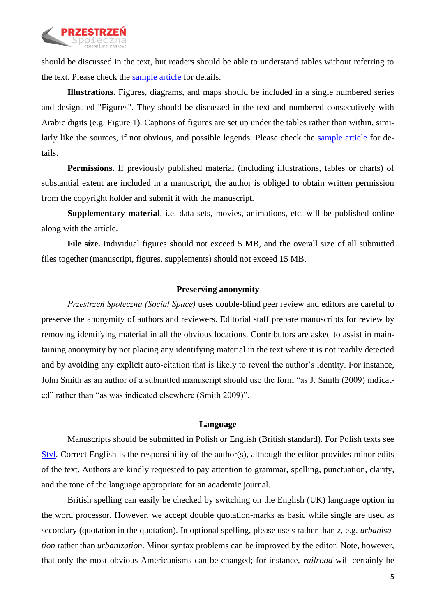

should be discussed in the text, but readers should be able to understand tables without referring to the text. Please check the sample article for details.

**Illustrations.** Figures, diagrams, and maps should be included in a single numbered series and designated "Figures". They should be discussed in the text and numbered consecutively with Arabic digits (e.g. Figure 1). Captions of figures are set up under the tables rather than within, similarly like the sources, if not obvious, and possible legends. Please check the sample article for details.

**Permissions.** If previously published material (including illustrations, tables or charts) of substantial extent are included in a manuscript, the author is obliged to obtain written permission from the copyright holder and submit it with the manuscript.

**Supplementary material**, i.e. data sets, movies, animations, etc. will be published online along with the article.

**File size.** Individual figures should not exceed 5 MB, and the overall size of all submitted files together (manuscript, figures, supplements) should not exceed 15 MB.

### **Preserving anonymity**

*Przestrzeń Społeczna (Social Space)* uses double-blind peer review and editors are careful to preserve the anonymity of authors and reviewers. Editorial staff prepare manuscripts for review by removing identifying material in all the obvious locations. Contributors are asked to assist in maintaining anonymity by not placing any identifying material in the text where it is not readily detected and by avoiding any explicit auto-citation that is likely to reveal the author's identity. For instance, John Smith as an author of a submitted manuscript should use the form "as J. Smith (2009) indicated" rather than "as was indicated elsewhere (Smith 2009)".

#### **Language**

Manuscripts should be submitted in Polish or English (British standard). For Polish texts see Styl. Correct English is the responsibility of the author(s), although the editor provides minor edits of the text. Authors are kindly requested to pay attention to grammar, spelling, punctuation, clarity, and the tone of the language appropriate for an academic journal.

British spelling can easily be checked by switching on the English (UK) language option in the word processor. However, we accept double quotation-marks as basic while single are used as secondary (quotation in the quotation). In optional spelling, please use *s* rather than *z*, e.g. *urbanisation* rather than *urbanization*. Minor syntax problems can be improved by the editor. Note, however, that only the most obvious Americanisms can be changed; for instance, *railroad* will certainly be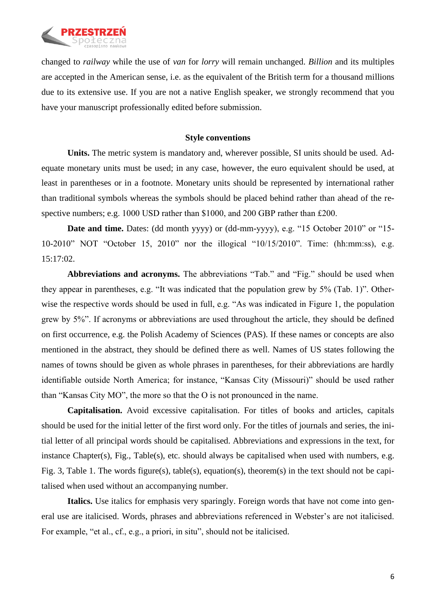

changed to *railway* while the use of *van* for *lorry* will remain unchanged. *Billion* and its multiples are accepted in the American sense, i.e. as the equivalent of the British term for a thousand millions due to its extensive use. If you are not a native English speaker, we strongly recommend that you have your manuscript professionally edited before submission.

### **Style conventions**

**Units.** The metric system is mandatory and, wherever possible, SI units should be used. Adequate monetary units must be used; in any case, however, the euro equivalent should be used, at least in parentheses or in a footnote. Monetary units should be represented by international rather than traditional symbols whereas the symbols should be placed behind rather than ahead of the respective numbers; e.g. 1000 USD rather than \$1000, and 200 GBP rather than £200.

**Date and time.** Dates: (dd month yyyy) or (dd-mm-yyyy), e.g. "15 October 2010" or "15- 10-2010" NOT "October 15, 2010" nor the illogical "10/15/2010". Time: (hh:mm:ss), e.g. 15:17:02.

**Abbreviations and acronyms.** The abbreviations "Tab." and "Fig." should be used when they appear in parentheses, e.g. "It was indicated that the population grew by 5% (Tab. 1)". Otherwise the respective words should be used in full, e.g. "As was indicated in Figure 1, the population grew by 5%". If acronyms or abbreviations are used throughout the article, they should be defined on first occurrence, e.g. the Polish Academy of Sciences (PAS). If these names or concepts are also mentioned in the abstract, they should be defined there as well. Names of US states following the names of towns should be given as whole phrases in parentheses, for their abbreviations are hardly identifiable outside North America; for instance, "Kansas City (Missouri)" should be used rather than "Kansas City MO", the more so that the O is not pronounced in the name.

**Capitalisation.** Avoid excessive capitalisation. For titles of books and articles, capitals should be used for the initial letter of the first word only. For the titles of journals and series, the initial letter of all principal words should be capitalised. Abbreviations and expressions in the text, for instance Chapter(s), Fig., Table(s), etc. should always be capitalised when used with numbers, e.g. Fig. 3, Table 1. The words figure(s), table(s), equation(s), theorem(s) in the text should not be capitalised when used without an accompanying number.

**Italics.** Use italics for emphasis very sparingly. Foreign words that have not come into general use are italicised. Words, phrases and abbreviations referenced in Webster's are not italicised. For example, "et al., cf., e.g., a priori, in situ", should not be italicised.